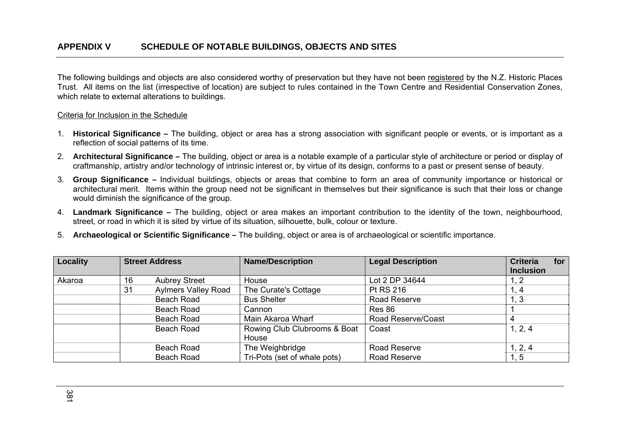The following buildings and objects are also considered worthy of preservation but they have not been registered by the N.Z. Historic Places Trust. All items on the list (irrespective of location) are subject to rules contained in the Town Centre and Residential Conservation Zones, which relate to external alterations to buildings.

## Criteria for Inclusion in the Schedule

- 1. **Historical Significance –** The building, object or area has a strong association with significant people or events, or is important as a reflection of social patterns of its time.
- 2. **Architectural Significance** The building, object or area is a notable example of a particular style of architecture or period or display of craftmanship, artistry and/or technology of intrinsic interest or, by virtue of its design, conforms to a past or present sense of beauty.
- 3. **Group Significance** Individual buildings, objects or areas that combine to form an area of community importance or historical or architectural merit. Items within the group need not be significant in themselves but their significance is such that their loss or change would diminish the significance of the group.
- 4. **Landmark Significance** The building, object or area makes an important contribution to the identity of the town, neighbourhood, street, or road in which it is sited by virtue of its situation, silhouette, bulk, colour or texture.
- 5. **Archaeological or Scientific Significance** The building, object or area is of archaeological or scientific importance.

| Locality |    | <b>Street Address</b>      | <b>Name/Description</b>      | <b>Legal Description</b> | <b>Criteria</b>  | for |
|----------|----|----------------------------|------------------------------|--------------------------|------------------|-----|
|          |    |                            |                              |                          | <b>Inclusion</b> |     |
| Akaroa   | 16 | <b>Aubrey Street</b>       | House                        | Lot 2 DP 34644           |                  |     |
|          | 31 | <b>Aylmers Valley Road</b> | The Curate's Cottage         | <b>Pt RS 216</b>         | . 4              |     |
|          |    | Beach Road                 | <b>Bus Shelter</b>           | Road Reserve             | . 3              |     |
|          |    | Beach Road                 | Cannon                       | Res 86                   |                  |     |
|          |    | Beach Road                 | Main Akaroa Wharf            | Road Reserve/Coast       | 4                |     |
|          |    | Beach Road                 | Rowing Club Clubrooms & Boat | Coast                    | 1, 2, 4          |     |
|          |    |                            | House                        |                          |                  |     |
|          |    | Beach Road                 | The Weighbridge              | Road Reserve             | 1, 2, 4          |     |
|          |    | Beach Road                 | Tri-Pots (set of whale pots) | Road Reserve             | 1.5              |     |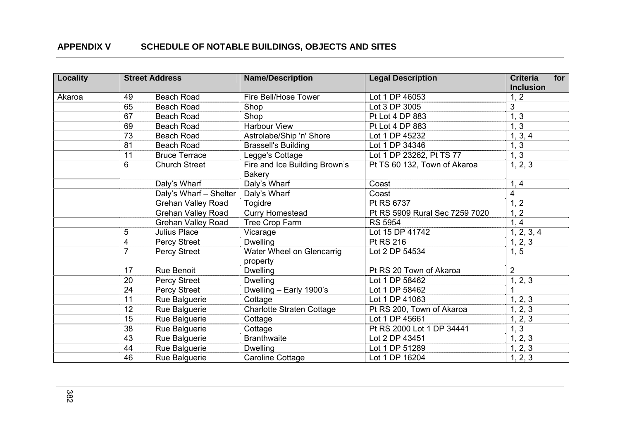| Locality |                         | <b>Street Address</b>     | <b>Name/Description</b>          | <b>Legal Description</b>       | for<br><b>Criteria</b><br><b>Inclusion</b> |
|----------|-------------------------|---------------------------|----------------------------------|--------------------------------|--------------------------------------------|
| Akaroa   | 49                      | <b>Beach Road</b>         | Fire Bell/Hose Tower             | Lot 1 DP 46053                 | 1, 2                                       |
|          | 65                      | <b>Beach Road</b>         | Shop                             | Lot 3 DP 3005                  | 3                                          |
|          | 67                      | <b>Beach Road</b>         | Shop                             | Pt Lot 4 DP 883                | 1, 3                                       |
|          | 69                      | <b>Beach Road</b>         | <b>Harbour View</b>              | Pt Lot 4 DP 883                | 1, 3                                       |
|          | 73                      | <b>Beach Road</b>         | Astrolabe/Ship 'n' Shore         | Lot 1 DP 45232                 | 1, 3, 4                                    |
|          | 81                      | <b>Beach Road</b>         | <b>Brassell's Building</b>       | Lot 1 DP 34346                 | 1, 3                                       |
|          | 11                      | <b>Bruce Terrace</b>      | Legge's Cottage                  | Lot 1 DP 23262, Pt TS 77       | 1, 3                                       |
|          | 6                       | <b>Church Street</b>      | Fire and Ice Building Brown's    | Pt TS 60 132, Town of Akaroa   | 1, 2, 3                                    |
|          |                         |                           | <b>Bakery</b>                    |                                |                                            |
|          |                         | Daly's Wharf              | Daly's Wharf                     | Coast                          | 1, 4                                       |
|          |                         | Daly's Wharf - Shelter    | Daly's Wharf                     | Coast                          | 4                                          |
|          |                         | <b>Grehan Valley Road</b> | Togidre                          | Pt RS 6737                     | 1, 2                                       |
|          |                         | <b>Grehan Valley Road</b> | <b>Curry Homestead</b>           | Pt RS 5909 Rural Sec 7259 7020 | 1, 2                                       |
|          |                         | <b>Grehan Valley Road</b> | Tree Crop Farm                   | <b>RS 5954</b>                 | 1, 4                                       |
|          | 5                       | <b>Julius Place</b>       | Vicarage                         | Lot 15 DP 41742                | 1, 2, 3, 4                                 |
|          | $\overline{\mathbf{4}}$ | Percy Street              | <b>Dwelling</b>                  | Pt RS 216                      | 1, 2, 3                                    |
|          | $\overline{7}$          | Percy Street              | Water Wheel on Glencarrig        | Lot 2 DP 54534                 | 1, 5                                       |
|          |                         |                           | property                         |                                |                                            |
|          | 17                      | Rue Benoit                | <b>Dwelling</b>                  | Pt RS 20 Town of Akaroa        | $\overline{2}$                             |
|          | 20                      | Percy Street              | <b>Dwelling</b>                  | Lot 1 DP 58462                 | 1, 2, 3                                    |
|          | 24                      | <b>Percy Street</b>       | Dwelling - Early 1900's          | Lot 1 DP 58462                 |                                            |
|          | 11                      | Rue Balguerie             | Cottage                          | Lot 1 DP 41063                 | 1, 2, 3                                    |
|          | 12                      | Rue Balguerie             | <b>Charlotte Straten Cottage</b> | Pt RS 200, Town of Akaroa      | 1, 2, 3                                    |
|          | 15                      | Rue Balguerie             | Cottage                          | Lot 1 DP 45661                 | 1, 2, 3                                    |
|          | 38                      | Rue Balguerie             | Cottage                          | Pt RS 2000 Lot 1 DP 34441      | 1, 3                                       |
|          | 43                      | Rue Balguerie             | <b>Branthwaite</b>               | Lot 2 DP 43451                 | 1, 2, 3                                    |
|          | 44                      | Rue Balguerie             | <b>Dwelling</b>                  | Lot 1 DP 51289                 | 1, 2, 3                                    |
|          | 46                      | Rue Balguerie             | Caroline Cottage                 | Lot 1 DP 16204                 | 1, 2, 3                                    |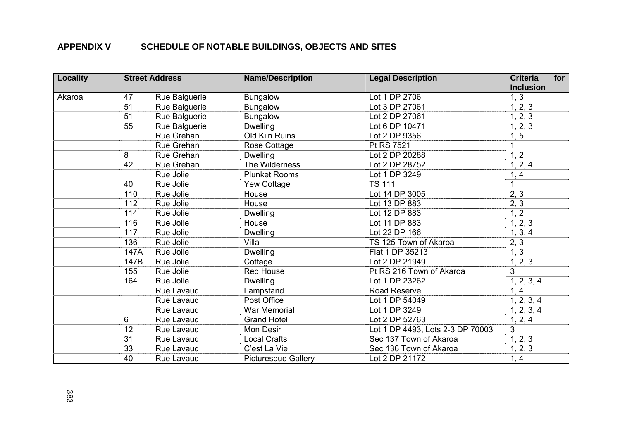| <b>Locality</b> |      | <b>Street Address</b> | <b>Name/Description</b>    | <b>Legal Description</b>         | for<br><b>Criteria</b><br><b>Inclusion</b> |
|-----------------|------|-----------------------|----------------------------|----------------------------------|--------------------------------------------|
| Akaroa          | 47   | Rue Balguerie         | <b>Bungalow</b>            | Lot 1 DP 2706                    | 1, 3                                       |
|                 | 51   | Rue Balguerie         | <b>Bungalow</b>            | Lot 3 DP 27061                   | 1, 2, 3                                    |
|                 | 51   | Rue Balguerie         | <b>Bungalow</b>            | Lot 2 DP 27061                   | 1, 2, 3                                    |
|                 | 55   | Rue Balguerie         | <b>Dwelling</b>            | Lot 6 DP 10471                   | 1, 2, 3                                    |
|                 |      | Rue Grehan            | Old Kiln Ruins             | Lot 2 DP 9356                    | 1, 5                                       |
|                 |      | Rue Grehan            | Rose Cottage               | Pt RS 7521                       |                                            |
|                 | 8    | Rue Grehan            | <b>Dwelling</b>            | Lot 2 DP 20288                   | 1, 2                                       |
|                 | 42   | Rue Grehan            | The Wilderness             | Lot 2 DP 28752                   | 1, 2, 4                                    |
|                 |      | Rue Jolie             | <b>Plunket Rooms</b>       | Lot 1 DP 3249                    | 1, 4                                       |
|                 | 40   | Rue Jolie             | <b>Yew Cottage</b>         | <b>TS 111</b>                    | 1                                          |
|                 | 110  | Rue Jolie             | House                      | Lot 14 DP 3005                   | 2, 3                                       |
|                 | 112  | Rue Jolie             | House                      | Lot 13 DP 883                    | 2, 3                                       |
|                 | 114  | Rue Jolie             | <b>Dwelling</b>            | Lot 12 DP 883                    | 1, 2                                       |
|                 | 116  | Rue Jolie             | House                      | Lot 11 DP 883                    | 1, 2, 3                                    |
|                 | 117  | Rue Jolie             | <b>Dwelling</b>            | Lot 22 DP 166                    | 1, 3, 4                                    |
|                 | 136  | Rue Jolie             | Villa                      | TS 125 Town of Akaroa            | 2, 3                                       |
|                 | 147A | Rue Jolie             | <b>Dwelling</b>            | Flat 1 DP 35213                  | 1, 3                                       |
|                 | 147B | Rue Jolie             | Cottage                    | Lot 2 DP 21949                   | 1, 2, 3                                    |
|                 | 155  | Rue Jolie             | <b>Red House</b>           | Pt RS 216 Town of Akaroa         | 3                                          |
|                 | 164  | Rue Jolie             | <b>Dwelling</b>            | Lot 1 DP 23262                   | 1, 2, 3, 4                                 |
|                 |      | Rue Lavaud            | Lampstand                  | Road Reserve                     | 1, 4                                       |
|                 |      | Rue Lavaud            | Post Office                | Lot 1 DP 54049                   | 1, 2, 3, 4                                 |
|                 |      | Rue Lavaud            | <b>War Memorial</b>        | Lot 1 DP 3249                    | 1, 2, 3, 4                                 |
|                 | 6    | Rue Lavaud            | <b>Grand Hotel</b>         | Lot 2 DP 52763                   | 1, 2, 4                                    |
|                 | 12   | Rue Lavaud            | Mon Desir                  | Lot 1 DP 4493, Lots 2-3 DP 70003 | 3                                          |
|                 | 31   | Rue Lavaud            | <b>Local Crafts</b>        | Sec 137 Town of Akaroa           | 1, 2, 3                                    |
|                 | 33   | Rue Lavaud            | C'est La Vie               | Sec 136 Town of Akaroa           | 1, 2, 3                                    |
|                 | 40   | Rue Lavaud            | <b>Picturesque Gallery</b> | Lot 2 DP 21172                   | 1, 4                                       |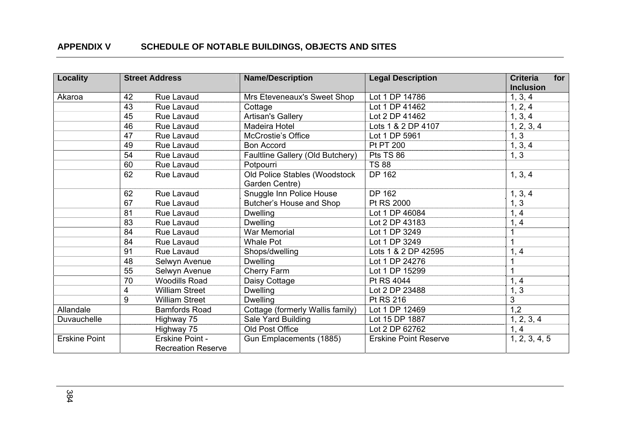| <b>Locality</b>      |    | <b>Street Address</b>     | <b>Name/Description</b>                         | <b>Legal Description</b>     | <b>Criteria</b><br>for<br><b>Inclusion</b> |
|----------------------|----|---------------------------|-------------------------------------------------|------------------------------|--------------------------------------------|
| Akaroa               | 42 | Rue Lavaud                | Mrs Eteveneaux's Sweet Shop                     | Lot 1 DP 14786               | 1, 3, 4                                    |
|                      | 43 | Rue Lavaud                | Cottage                                         | Lot 1 DP 41462               | 1, 2, 4                                    |
|                      | 45 | Rue Lavaud                | Artisan's Gallery                               | Lot 2 DP 41462               | 1, 3, 4                                    |
|                      | 46 | Rue Lavaud                | Madeira Hotel                                   | Lots 1 & 2 DP 4107           | 1, 2, 3, 4                                 |
|                      | 47 | Rue Lavaud                | <b>McCrostie's Office</b>                       | Lot 1 DP 5961                | 1, 3                                       |
|                      | 49 | Rue Lavaud                | <b>Bon Accord</b>                               | Pt PT 200                    | 1, 3, 4                                    |
|                      | 54 | Rue Lavaud                | Faultline Gallery (Old Butchery)                | Pts TS 86                    | 1, 3                                       |
|                      | 60 | Rue Lavaud                | Potpourri                                       | <b>TS 88</b>                 |                                            |
|                      | 62 | Rue Lavaud                | Old Police Stables (Woodstock<br>Garden Centre) | DP 162                       | 1, 3, 4                                    |
|                      | 62 | Rue Lavaud                | Snuggle Inn Police House                        | DP 162                       | 1, 3, 4                                    |
|                      | 67 | Rue Lavaud                | Butcher's House and Shop                        | Pt RS 2000                   | 1, 3                                       |
|                      | 81 | Rue Lavaud                | <b>Dwelling</b>                                 | Lot 1 DP 46084               | 1, 4                                       |
|                      | 83 | Rue Lavaud                | <b>Dwelling</b>                                 | Lot 2 DP 43183               | 1, 4                                       |
|                      | 84 | Rue Lavaud                | <b>War Memorial</b>                             | Lot 1 DP 3249                |                                            |
|                      | 84 | Rue Lavaud                | <b>Whale Pot</b>                                | Lot 1 DP 3249                | 1                                          |
|                      | 91 | Rue Lavaud                | Shops/dwelling                                  | Lots 1 & 2 DP 42595          | 1, 4                                       |
|                      | 48 | Selwyn Avenue             | <b>Dwelling</b>                                 | Lot 1 DP 24276               |                                            |
|                      | 55 | Selwyn Avenue             | Cherry Farm                                     | Lot 1 DP 15299               |                                            |
|                      | 70 | <b>Woodills Road</b>      | Daisy Cottage                                   | Pt RS 4044                   | 1, 4                                       |
|                      | 4  | <b>William Street</b>     | <b>Dwelling</b>                                 | Lot 2 DP 23488               | 1, 3                                       |
|                      | 9  | <b>William Street</b>     | <b>Dwelling</b>                                 | Pt RS 216                    | 3                                          |
| Allandale            |    | <b>Bamfords Road</b>      | Cottage (formerly Wallis family)                | Lot 1 DP 12469               | 1,2                                        |
| Duvauchelle          |    | Highway 75                | Sale Yard Building                              | Lot 15 DP 1887               | 1, 2, 3, 4                                 |
|                      |    | Highway 75                | Old Post Office                                 | Lot 2 DP 62762               | 1, 4                                       |
| <b>Erskine Point</b> |    | Erskine Point -           | Gun Emplacements (1885)                         | <b>Erskine Point Reserve</b> | 1, 2, 3, 4, 5                              |
|                      |    | <b>Recreation Reserve</b> |                                                 |                              |                                            |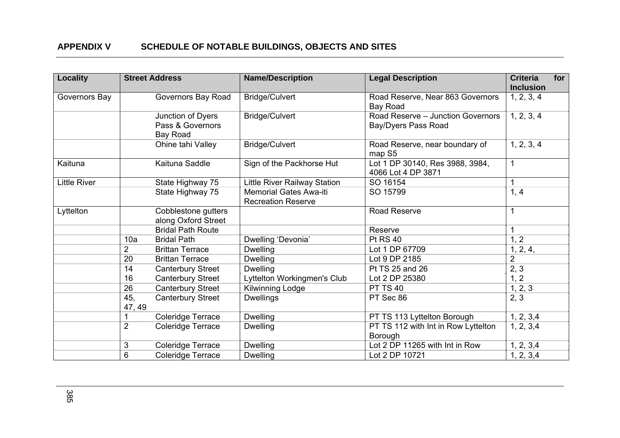| <b>Locality</b>     |                 | <b>Street Address</b>                             | <b>Name/Description</b>                                    | <b>Legal Description</b>                                 | <b>Criteria</b><br><b>Inclusion</b> | for |
|---------------------|-----------------|---------------------------------------------------|------------------------------------------------------------|----------------------------------------------------------|-------------------------------------|-----|
| Governors Bay       |                 | Governors Bay Road                                | <b>Bridge/Culvert</b>                                      | Road Reserve, Near 863 Governors<br>Bay Road             | 1, 2, 3, 4                          |     |
|                     |                 | Junction of Dyers<br>Pass & Governors<br>Bay Road | Bridge/Culvert                                             | Road Reserve - Junction Governors<br>Bay/Dyers Pass Road | 1, 2, 3, 4                          |     |
|                     |                 | Ohine tahi Valley                                 | <b>Bridge/Culvert</b>                                      | Road Reserve, near boundary of<br>map S5                 | 1, 2, 3, 4                          |     |
| Kaituna             |                 | Kaituna Saddle                                    | Sign of the Packhorse Hut                                  | Lot 1 DP 30140, Res 3988, 3984,<br>4066 Lot 4 DP 3871    | $\mathbf{1}$                        |     |
| <b>Little River</b> |                 | State Highway 75                                  | Little River Railway Station                               | SO 16154                                                 | $\mathbf{1}$                        |     |
|                     |                 | State Highway 75                                  | <b>Memorial Gates Awa-iti</b><br><b>Recreation Reserve</b> | SO 15799                                                 | 1, 4                                |     |
| Lyttelton           |                 | Cobblestone gutters<br>along Oxford Street        |                                                            | Road Reserve                                             |                                     |     |
|                     |                 | <b>Bridal Path Route</b>                          |                                                            | Reserve                                                  |                                     |     |
|                     | 10a             | <b>Bridal Path</b>                                | Dwelling 'Devonia'                                         | <b>Pt RS 40</b>                                          | 1, 2                                |     |
|                     | $\overline{2}$  | <b>Brittan Terrace</b>                            | <b>Dwelling</b>                                            | Lot 1 DP 67709                                           | 1, 2, 4,                            |     |
|                     | 20              | <b>Brittan Terrace</b>                            | <b>Dwelling</b>                                            | Lot 9 DP 2185                                            | $\overline{2}$                      |     |
|                     | 14              | <b>Canterbury Street</b>                          | <b>Dwelling</b>                                            | Pt TS 25 and 26                                          | 2, 3                                |     |
|                     | 16              | <b>Canterbury Street</b>                          | Lyttelton Workingmen's Club                                | Lot 2 DP 25380                                           | 1, 2                                |     |
|                     | 26              | <b>Canterbury Street</b>                          | Kilwinning Lodge                                           | <b>PT TS 40</b>                                          | 1, 2, 3                             |     |
|                     | 45,<br>47, 49   | <b>Canterbury Street</b>                          | <b>Dwellings</b>                                           | PT Sec 86                                                | 2, 3                                |     |
|                     | 1               | <b>Coleridge Terrace</b>                          | <b>Dwelling</b>                                            | PT TS 113 Lyttelton Borough                              | 1, 2, 3, 4                          |     |
|                     | $\overline{2}$  | <b>Coleridge Terrace</b>                          | <b>Dwelling</b>                                            | PT TS 112 with Int in Row Lyttelton<br>Borough           | 1, 2, 3, 4                          |     |
|                     | $\mathbf{3}$    | Coleridge Terrace                                 | <b>Dwelling</b>                                            | Lot 2 DP 11265 with Int in Row                           | 1, 2, 3,4                           |     |
|                     | $6\phantom{1}6$ | Coleridge Terrace                                 | <b>Dwelling</b>                                            | Lot 2 DP 10721                                           | 1, 2, 3,4                           |     |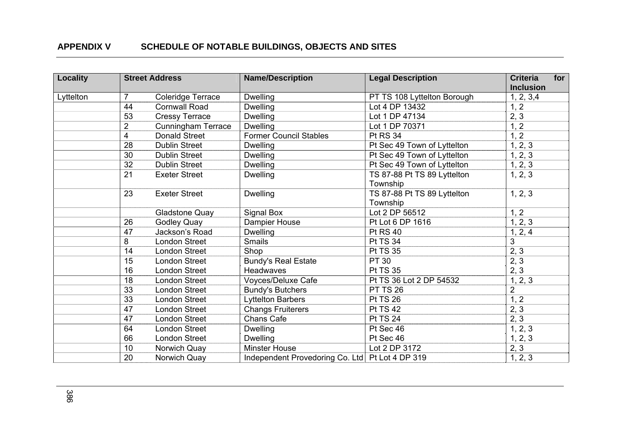| Locality  |                 | <b>Street Address</b>     | <b>Name/Description</b>                           | <b>Legal Description</b>                | <b>Criteria</b><br><b>Inclusion</b> | for |
|-----------|-----------------|---------------------------|---------------------------------------------------|-----------------------------------------|-------------------------------------|-----|
| Lyttelton | $\overline{7}$  | Coleridge Terrace         | <b>Dwelling</b>                                   | PT TS 108 Lyttelton Borough             | 1, 2, 3,4                           |     |
|           | 44              | <b>Cornwall Road</b>      | <b>Dwelling</b>                                   | Lot 4 DP 13432                          | 1, 2                                |     |
|           | 53              | <b>Cressy Terrace</b>     | <b>Dwelling</b>                                   | Lot 1 DP 47134                          | 2, 3                                |     |
|           | $\overline{2}$  | <b>Cunningham Terrace</b> | <b>Dwelling</b>                                   | Lot 1 DP 70371                          | 1, 2                                |     |
|           | 4               | <b>Donald Street</b>      | <b>Former Council Stables</b>                     | <b>Pt RS 34</b>                         | 1, 2                                |     |
|           | 28              | <b>Dublin Street</b>      | <b>Dwelling</b>                                   | Pt Sec 49 Town of Lyttelton             | 1, 2, 3                             |     |
|           | $\overline{30}$ | <b>Dublin Street</b>      | <b>Dwelling</b>                                   | Pt Sec 49 Town of Lyttelton             | 1, 2, 3                             |     |
|           | 32              | <b>Dublin Street</b>      | <b>Dwelling</b>                                   | Pt Sec 49 Town of Lyttelton             | 1, 2, 3                             |     |
|           | 21              | <b>Exeter Street</b>      | <b>Dwelling</b>                                   | TS 87-88 Pt TS 89 Lyttelton<br>Township | 1, 2, 3                             |     |
|           | 23              | <b>Exeter Street</b>      | <b>Dwelling</b>                                   | TS 87-88 Pt TS 89 Lyttelton<br>Township | 1, 2, 3                             |     |
|           |                 | <b>Gladstone Quay</b>     | Signal Box                                        | Lot 2 DP 56512                          | 1, 2                                |     |
|           | 26              | <b>Godley Quay</b>        | Dampier House                                     | Pt Lot 6 DP 1616                        | 1, 2, 3                             |     |
|           | 47              | Jackson's Road            | <b>Dwelling</b>                                   | <b>Pt RS 40</b>                         | 1, 2, 4                             |     |
|           | 8               | <b>London Street</b>      | <b>Smails</b>                                     | <b>Pt TS 34</b>                         | 3                                   |     |
|           | 14              | <b>London Street</b>      | Shop                                              | <b>Pt TS 35</b>                         | 2, 3                                |     |
|           | 15              | <b>London Street</b>      | <b>Bundy's Real Estate</b>                        | <b>PT 30</b>                            | 2, 3                                |     |
|           | 16              | <b>London Street</b>      | Headwaves                                         | <b>Pt TS 35</b>                         | 2, 3                                |     |
|           | 18              | <b>London Street</b>      | Voyces/Deluxe Cafe                                | Pt TS 36 Lot 2 DP 54532                 | 1, 2, 3                             |     |
|           | 33              | <b>London Street</b>      | <b>Bundy's Butchers</b>                           | <b>PT TS 26</b>                         | $\overline{2}$                      |     |
|           | 33              | <b>London Street</b>      | <b>Lyttelton Barbers</b>                          | <b>Pt TS 26</b>                         | 1, 2                                |     |
|           | 47              | <b>London Street</b>      | <b>Changs Fruiterers</b>                          | <b>Pt TS 42</b>                         | 2, 3                                |     |
|           | 47              | <b>London Street</b>      | Chans Cafe                                        | <b>Pt TS 24</b>                         | 2, 3                                |     |
|           | 64              | <b>London Street</b>      | <b>Dwelling</b>                                   | Pt Sec 46                               | 1, 2, 3                             |     |
|           | 66              | <b>London Street</b>      | <b>Dwelling</b>                                   | Pt Sec 46                               | 1, 2, 3                             |     |
|           | 10              | Norwich Quay              | <b>Minster House</b>                              | Lot 2 DP 3172                           | 2, 3                                |     |
|           | 20              | Norwich Quay              | Independent Provedoring Co. Ltd   Pt Lot 4 DP 319 |                                         | 1, 2, 3                             |     |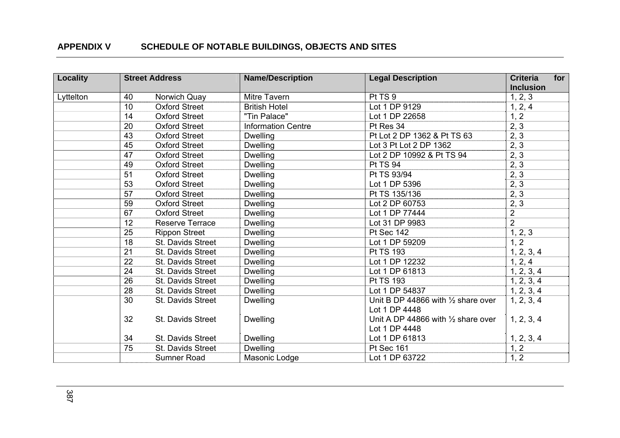| <b>Locality</b> |    | <b>Street Address</b>  | <b>Name/Description</b>   | <b>Legal Description</b>                      | for<br><b>Criteria</b><br><b>Inclusion</b> |
|-----------------|----|------------------------|---------------------------|-----------------------------------------------|--------------------------------------------|
| Lyttelton       | 40 | Norwich Quay           | Mitre Tavern              | Pt TS 9                                       | 1, 2, 3                                    |
|                 | 10 | <b>Oxford Street</b>   | <b>British Hotel</b>      | Lot 1 DP 9129                                 | 1, 2, 4                                    |
|                 | 14 | <b>Oxford Street</b>   | "Tin Palace"              | Lot 1 DP 22658                                | 1, 2                                       |
|                 | 20 | <b>Oxford Street</b>   | <b>Information Centre</b> | Pt Res 34                                     | 2, 3                                       |
|                 | 43 | <b>Oxford Street</b>   | <b>Dwelling</b>           | Pt Lot 2 DP 1362 & Pt TS 63                   | 2, 3                                       |
|                 | 45 | <b>Oxford Street</b>   | <b>Dwelling</b>           | Lot 3 Pt Lot 2 DP 1362                        | 2, 3                                       |
|                 | 47 | <b>Oxford Street</b>   | <b>Dwelling</b>           | Lot 2 DP 10992 & Pt TS 94                     | 2, 3                                       |
|                 | 49 | <b>Oxford Street</b>   | <b>Dwelling</b>           | <b>Pt TS 94</b>                               | 2, 3                                       |
|                 | 51 | <b>Oxford Street</b>   | <b>Dwelling</b>           | Pt TS 93/94                                   | 2, 3                                       |
|                 | 53 | <b>Oxford Street</b>   | <b>Dwelling</b>           | Lot 1 DP 5396                                 | 2, 3                                       |
|                 | 57 | <b>Oxford Street</b>   | <b>Dwelling</b>           | Pt TS 135/136                                 | 2, 3                                       |
|                 | 59 | <b>Oxford Street</b>   | <b>Dwelling</b>           | Lot 2 DP 60753                                | 2, 3                                       |
|                 | 67 | <b>Oxford Street</b>   | <b>Dwelling</b>           | Lot 1 DP 77444                                | $\overline{2}$                             |
|                 | 12 | <b>Reserve Terrace</b> | <b>Dwelling</b>           | Lot 31 DP 9983                                | $\overline{2}$                             |
|                 | 25 | <b>Rippon Street</b>   | <b>Dwelling</b>           | <b>Pt Sec 142</b>                             | 1, 2, 3                                    |
|                 | 18 | St. Davids Street      | <b>Dwelling</b>           | Lot 1 DP 59209                                | 1, 2                                       |
|                 | 21 | St. Davids Street      | <b>Dwelling</b>           | Pt TS 193                                     | 1, 2, 3, 4                                 |
|                 | 22 | St. Davids Street      | <b>Dwelling</b>           | Lot 1 DP 12232                                | 1, 2, 4                                    |
|                 | 24 | St. Davids Street      | <b>Dwelling</b>           | Lot 1 DP 61813                                | 1, 2, 3, 4                                 |
|                 | 26 | St. Davids Street      | <b>Dwelling</b>           | Pt TS 193                                     | 1, 2, 3, 4                                 |
|                 | 28 | St. Davids Street      | <b>Dwelling</b>           | Lot 1 DP 54837                                | 1, 2, 3, 4                                 |
|                 | 30 | St. Davids Street      | <b>Dwelling</b>           | Unit B DP 44866 with $\frac{1}{2}$ share over | 1, 2, 3, 4                                 |
|                 |    |                        |                           | Lot 1 DP 4448                                 |                                            |
|                 | 32 | St. Davids Street      | <b>Dwelling</b>           | Unit A DP 44866 with $\frac{1}{2}$ share over | 1, 2, 3, 4                                 |
|                 |    |                        |                           | Lot 1 DP 4448                                 |                                            |
|                 | 34 | St. Davids Street      | <b>Dwelling</b>           | Lot 1 DP 61813                                | 1, 2, 3, 4                                 |
|                 | 75 | St. Davids Street      | <b>Dwelling</b>           | Pt Sec 161                                    | 1, 2                                       |
|                 |    | Sumner Road            | Masonic Lodge             | Lot 1 DP 63722                                | 1, 2                                       |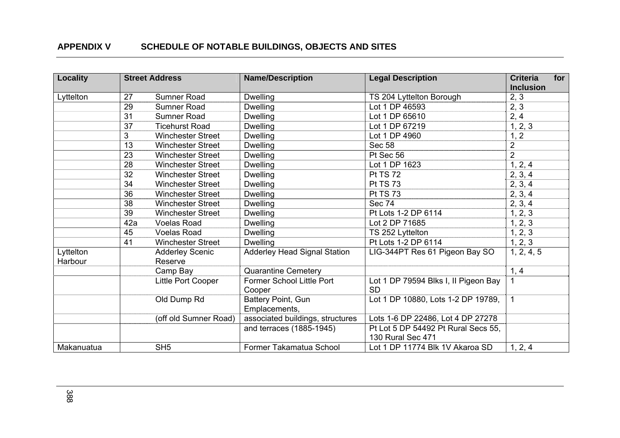| <b>Locality</b> |     | <b>Street Address</b>    | <b>Name/Description</b>             | <b>Legal Description</b>             | <b>Criteria</b><br><b>Inclusion</b> | for |
|-----------------|-----|--------------------------|-------------------------------------|--------------------------------------|-------------------------------------|-----|
| Lyttelton       | 27  | Sumner Road              | <b>Dwelling</b>                     | TS 204 Lyttelton Borough             | 2, 3                                |     |
|                 | 29  | Sumner Road              | <b>Dwelling</b>                     | Lot 1 DP 46593                       | 2, 3                                |     |
|                 | 31  | Sumner Road              | <b>Dwelling</b>                     | Lot 1 DP 65610                       | 2, 4                                |     |
|                 | 37  | <b>Ticehurst Road</b>    | <b>Dwelling</b>                     | Lot 1 DP 67219                       | 1, 2, 3                             |     |
|                 | 3   | <b>Winchester Street</b> | <b>Dwelling</b>                     | Lot 1 DP 4960                        | 1, 2                                |     |
|                 | 13  | <b>Winchester Street</b> | <b>Dwelling</b>                     | <b>Sec 58</b>                        | $\overline{2}$                      |     |
|                 | 23  | <b>Winchester Street</b> | <b>Dwelling</b>                     | Pt Sec 56                            | $\overline{2}$                      |     |
|                 | 28  | <b>Winchester Street</b> | <b>Dwelling</b>                     | Lot 1 DP 1623                        | 1, 2, 4                             |     |
|                 | 32  | <b>Winchester Street</b> | <b>Dwelling</b>                     | <b>Pt TS 72</b>                      | 2, 3, 4                             |     |
|                 | 34  | <b>Winchester Street</b> | <b>Dwelling</b>                     | <b>Pt TS 73</b>                      | 2, 3, 4                             |     |
|                 | 36  | <b>Winchester Street</b> | <b>Dwelling</b>                     | <b>Pt TS 73</b>                      | 2, 3, 4                             |     |
|                 | 38  | <b>Winchester Street</b> | <b>Dwelling</b>                     | <b>Sec 74</b>                        | 2, 3, 4                             |     |
|                 | 39  | <b>Winchester Street</b> | <b>Dwelling</b>                     | Pt Lots 1-2 DP 6114                  | 1, 2, 3                             |     |
|                 | 42a | <b>Voelas Road</b>       | <b>Dwelling</b>                     | Lot 2 DP 71685                       | 1, 2, 3                             |     |
|                 | 45  | <b>Voelas Road</b>       | <b>Dwelling</b>                     | TS 252 Lyttelton                     | 1, 2, 3                             |     |
|                 | 41  | <b>Winchester Street</b> | <b>Dwelling</b>                     | Pt Lots 1-2 DP 6114                  | 1, 2, 3                             |     |
| Lyttelton       |     | <b>Adderley Scenic</b>   | <b>Adderley Head Signal Station</b> | LIG-344PT Res 61 Pigeon Bay SO       | 1, 2, 4, 5                          |     |
| Harbour         |     | Reserve                  |                                     |                                      |                                     |     |
|                 |     | Camp Bay                 | <b>Quarantine Cemetery</b>          |                                      | 1, 4                                |     |
|                 |     | Little Port Cooper       | Former School Little Port           | Lot 1 DP 79594 Blks I, II Pigeon Bay |                                     |     |
|                 |     |                          | Cooper                              | <b>SD</b>                            |                                     |     |
|                 |     | Old Dump Rd              | Battery Point, Gun                  | Lot 1 DP 10880, Lots 1-2 DP 19789,   | $\mathbf{1}$                        |     |
|                 |     |                          | Emplacements,                       |                                      |                                     |     |
|                 |     | (off old Sumner Road)    | associated buildings, structures    | Lots 1-6 DP 22486, Lot 4 DP 27278    |                                     |     |
|                 |     |                          | and terraces (1885-1945)            | Pt Lot 5 DP 54492 Pt Rural Secs 55,  |                                     |     |
|                 |     |                          |                                     | 130 Rural Sec 471                    |                                     |     |
| Makanuatua      |     | SH <sub>5</sub>          | Former Takamatua School             | Lot 1 DP 11774 Blk 1V Akaroa SD      | 1, 2, 4                             |     |